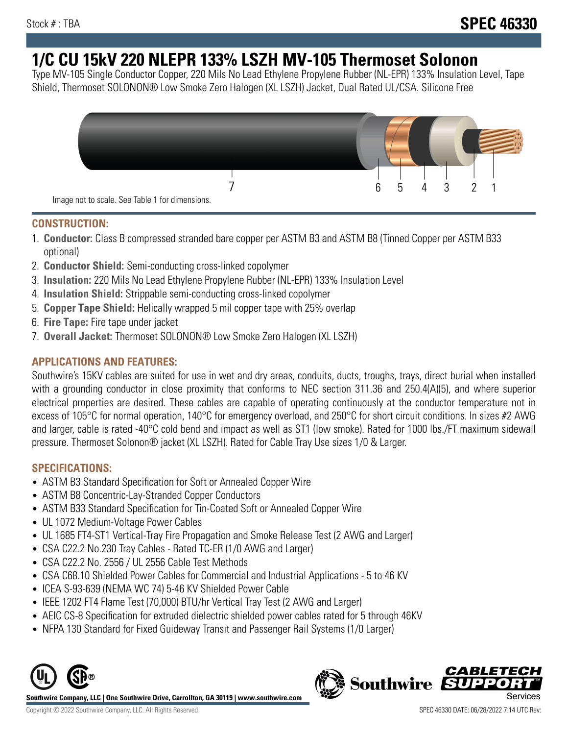# **1/C CU 15kV 220 NLEPR 133% LSZH MV-105 Thermoset Solonon**

Type MV-105 Single Conductor Copper, 220 Mils No Lead Ethylene Propylene Rubber (NL-EPR) 133% Insulation Level, Tape Shield, Thermoset SOLONON® Low Smoke Zero Halogen (XL LSZH) Jacket, Dual Rated UL/CSA. Silicone Free



#### **CONSTRUCTION:**

- 1. **Conductor:** Class B compressed stranded bare copper per ASTM B3 and ASTM B8 (Tinned Copper per ASTM B33 optional)
- 2. **Conductor Shield:** Semi-conducting cross-linked copolymer
- 3. **Insulation:** 220 Mils No Lead Ethylene Propylene Rubber (NL-EPR) 133% Insulation Level
- 4. **Insulation Shield:** Strippable semi-conducting cross-linked copolymer
- 5. **Copper Tape Shield:** Helically wrapped 5 mil copper tape with 25% overlap
- 6. **Fire Tape:** Fire tape under jacket
- 7. **Overall Jacket:** Thermoset SOLONON® Low Smoke Zero Halogen (XL LSZH)

## **APPLICATIONS AND FEATURES:**

Southwire's 15KV cables are suited for use in wet and dry areas, conduits, ducts, troughs, trays, direct burial when installed with a grounding conductor in close proximity that conforms to NEC section 311.36 and 250.4(A)(5), and where superior electrical properties are desired. These cables are capable of operating continuously at the conductor temperature not in excess of 105°C for normal operation, 140°C for emergency overload, and 250°C for short circuit conditions. In sizes #2 AWG and larger, cable is rated -40°C cold bend and impact as well as ST1 (low smoke). Rated for 1000 lbs./FT maximum sidewall pressure. Thermoset Solonon® jacket (XL LSZH). Rated for Cable Tray Use sizes 1/0 & Larger.

## **SPECIFICATIONS:**

- ASTM B3 Standard Specification for Soft or Annealed Copper Wire
- ASTM B8 Concentric-Lay-Stranded Copper Conductors
- ASTM B33 Standard Specification for Tin-Coated Soft or Annealed Copper Wire
- UL 1072 Medium-Voltage Power Cables
- UL 1685 FT4-ST1 Vertical-Tray Fire Propagation and Smoke Release Test (2 AWG and Larger)
- CSA C22.2 No.230 Tray Cables Rated TC-ER (1/0 AWG and Larger)
- CSA C22.2 No. 2556 / UL 2556 Cable Test Methods
- CSA C68.10 Shielded Power Cables for Commercial and Industrial Applications 5 to 46 KV
- ICEA S-93-639 (NEMA WC 74) 5-46 KV Shielded Power Cable
- IEEE 1202 FT4 Flame Test (70,000) BTU/hr Vertical Tray Test (2 AWG and Larger)
- AEIC CS-8 Specification for extruded dielectric shielded power cables rated for 5 through 46KV
- NFPA 130 Standard for Fixed Guideway Transit and Passenger Rail Systems (1/0 Larger)



**Southwire Company, LLC | One Southwire Drive, Carrollton, GA 30119 | www.southwire.com**